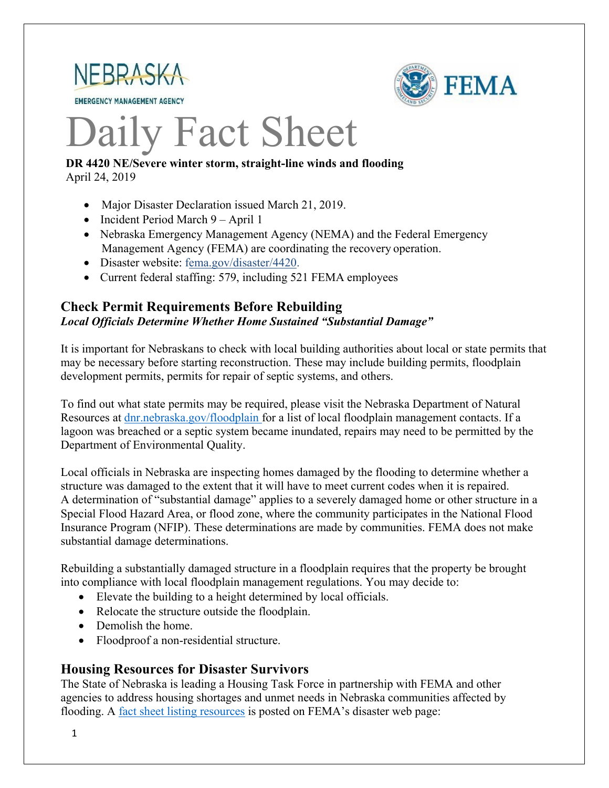

**EMERGENCY MANAGEMENT AGENCY** 



# Daily Fact Sheet

#### **DR 4420 NE/Severe winter storm, straight-line winds and flooding** April 24, 2019

- Major Disaster Declaration issued March 21, 2019.
- Incident Period March 9 April 1
- Nebraska Emergency Management Agency (NEMA) and the Federal Emergency Management Agency (FEMA) are coordinating the recovery operation.
- Disaster websit[e: fema.gov/disaster/4420.](https://www.fema.gov/disaster/4420)
- Current federal staffing: 579, including 521 FEMA employees

#### **Check Permit Requirements Before Rebuilding** *Local Officials Determine Whether Home Sustained "Substantial Damage"*

It is important for Nebraskans to check with local building authorities about local or state permits that may be necessary before starting reconstruction. These may include building permits, floodplain development permits, permits for repair of septic systems, and others.

To find out what state permits may be required, please visit the Nebraska Department of Natural Resources at [dnr.nebraska.gov/floodplain](https://dnr.nebraska.gov/floodplain) for a list of local floodplain management contacts. If a lagoon was breached or a septic system became inundated, repairs may need to be permitted by the Department of Environmental Quality.

Local officials in Nebraska are inspecting homes damaged by the flooding to determine whether a structure was damaged to the extent that it will have to meet current codes when it is repaired. A determination of "substantial damage" applies to a severely damaged home or other structure in a Special Flood Hazard Area, or flood zone, where the community participates in the National Flood Insurance Program (NFIP). These determinations are made by communities. FEMA does not make substantial damage determinations.

Rebuilding a substantially damaged structure in a floodplain requires that the property be brought into compliance with local floodplain management regulations. You may decide to:

- Elevate the building to a height determined by local officials.
- Relocate the structure outside the floodplain.
- Demolish the home.
- Floodproof a non-residential structure.

## **Housing Resources for Disaster Survivors**

The State of Nebraska is leading a Housing Task Force in partnership with FEMA and other agencies to address housing shortages and unmet needs in Nebraska communities affected by flooding. A [fact sheet listing resources](https://edit.fema.gov/news-release/2019/04/19/fact-sheet-housing-resources-residents-nebraska-affected-march-storms-0) is posted on FEMA's disaster web page: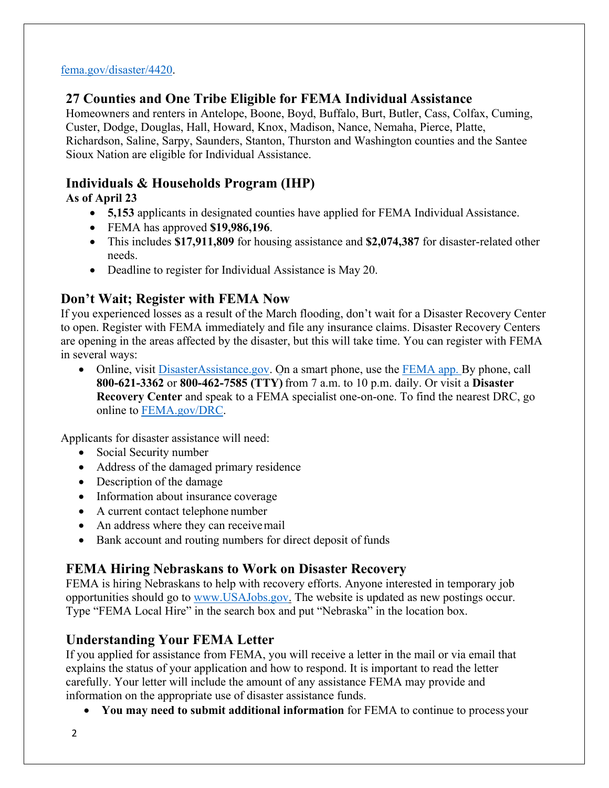#### [fema.gov/disaster/4420.](http://www.fema.gov/disaster/4420)

# **27 Counties and One Tribe Eligible for FEMA Individual Assistance**

Homeowners and renters in Antelope, Boone, Boyd, Buffalo, Burt, Butler, Cass, Colfax, Cuming, Custer, Dodge, Douglas, Hall, Howard, Knox, Madison, Nance, Nemaha, Pierce, Platte, Richardson, Saline, Sarpy, Saunders, Stanton, Thurston and Washington counties and the Santee Sioux Nation are eligible for Individual Assistance.

# **Individuals & Households Program (IHP)**

**As of April 23** 

- **5,153** applicants in designated counties have applied for FEMA Individual Assistance.
- FEMA has approved **\$19,986,196**.
- This includes **\$17,911,809** for housing assistance and **\$2,074,387** for disaster-related other needs.
- Deadline to register for Individual Assistance is May 20.

# **Don't Wait; Register with FEMA Now**

If you experienced losses as a result of the March flooding, don't wait for a Disaster Recovery Center to open. Register with FEMA immediately and file any insurance claims. Disaster Recovery Centers are opening in the areas affected by the disaster, but this will take time. You can register with FEMA in several ways:

• Online, visit [DisasterAssistance.gov.](https://disasterassistance.gov/) On a smart phone, use the [FEMA app.](https://www.fema.gov/mobile-app) By phone, call **800-621-3362** or **800-462-7585 (TTY)** from 7 a.m. to 10 p.m. daily. Or visit a **Disaster Recovery Center** and speak to a FEMA specialist one-on-one. To find the nearest DRC, go online to [FEMA.gov/DRC.](http://www.fema.gov/DRC)

Applicants for disaster assistance will need:

- Social Security number
- Address of the damaged primary residence
- Description of the damage
- Information about insurance coverage
- A current contact telephone number
- An address where they can receive mail
- Bank account and routing numbers for direct deposit of funds

# **FEMA Hiring Nebraskans to Work on Disaster Recovery**

FEMA is hiring Nebraskans to help with recovery efforts. Anyone interested in temporary job opportunities should go to [www.USAJobs.gov.](http://www.usajobs.gov/) The website is updated as new postings occur. Type "FEMA Local Hire" in the search box and put "Nebraska" in the location box.

# **Understanding Your FEMA Letter**

If you applied for assistance from FEMA, you will receive a letter in the mail or via email that explains the status of your application and how to respond. It is important to read the letter carefully. Your letter will include the amount of any assistance FEMA may provide and information on the appropriate use of disaster assistance funds.

• **You may need to submit additional information** for FEMA to continue to process your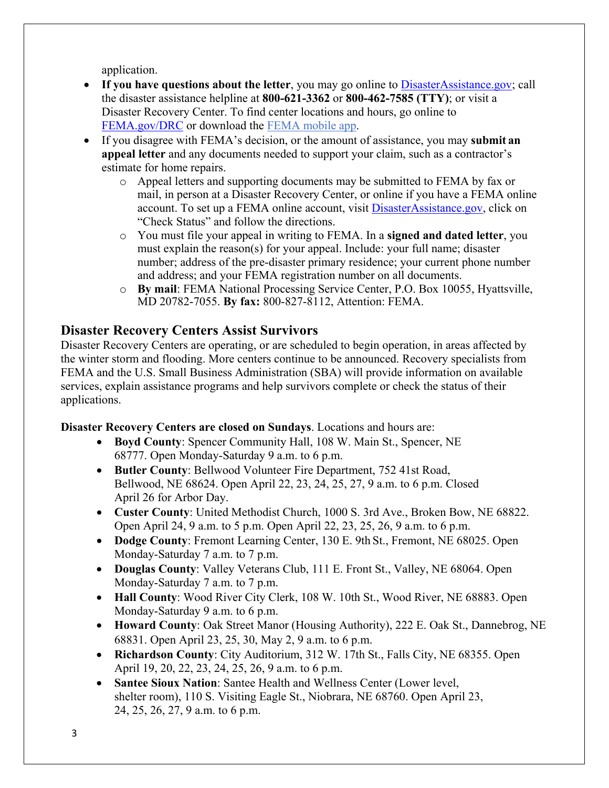application.

- If you have questions about the letter, you may go online to [DisasterAssistance.gov;](http://www.disasterassistance.gov/) call the disaster assistance helpline at **800-621-3362** or **800-462-7585 (TTY)**; or visit a Disaster Recovery Center. To find center locations and hours, go online t[o](https://www.fema.gov/disaster-recovery-centers) [FEMA.gov/DRC o](https://www.fema.gov/disaster-recovery-centers)r download the [FEMA mobile app.](https://www.fema.gov/mobile-app)
- If you disagree with FEMA's decision, or the amount of assistance, you may **submit an appeal letter** and any documents needed to support your claim, such as a contractor's estimate for home repairs.
	- o Appeal letters and supporting documents may be submitted to FEMA by fax or mail, in person at a Disaster Recovery Center, or online if you have a FEMA online account. To set up a FEMA online account, visit **DisasterAssistance.gov**, click on "Check Status" and follow the directions.
	- o You must file your appeal in writing to FEMA. In a **signed and dated letter**, you must explain the reason(s) for your appeal. Include: your full name; disaster number; address of the pre-disaster primary residence; your current phone number and address; and your FEMA registration number on all documents.
	- o **By mail**: FEMA National Processing Service Center, P.O. Box 10055, Hyattsville, MD 20782-7055. **By fax:** 800-827-8112, Attention: FEMA.

# **Disaster Recovery Centers Assist Survivors**

Disaster Recovery Centers are operating, or are scheduled to begin operation, in areas affected by the winter storm and flooding. More centers continue to be announced. Recovery specialists from FEMA and the U.S. Small Business Administration (SBA) will provide information on available services, explain assistance programs and help survivors complete or check the status of their applications.

#### **Disaster Recovery Centers are closed on Sundays**. Locations and hours are:

- **Boyd County**: Spencer Community Hall, 108 W. Main St., Spencer, NE 68777. Open Monday-Saturday 9 a.m. to 6 p.m.
- **Butler County**: Bellwood Volunteer Fire Department, 752 41st Road, Bellwood, NE 68624. Open April 22, 23, 24, 25, 27, 9 a.m. to 6 p.m. Closed April 26 for Arbor Day.
- **Custer County**: United Methodist Church, 1000 S. 3rd Ave., Broken Bow, NE 68822. Open April 24, 9 a.m. to 5 p.m. Open April 22, 23, 25, 26, 9 a.m. to 6 p.m.
- **Dodge County**: Fremont Learning Center, 130 E. 9th St., Fremont, NE 68025. Open Monday-Saturday 7 a.m. to 7 p.m.
- **Douglas County**: Valley Veterans Club, 111 E. Front St., Valley, NE 68064. Open Monday-Saturday 7 a.m. to 7 p.m.
- **Hall County**: Wood River City Clerk, 108 W. 10th St., Wood River, NE 68883. Open Monday-Saturday 9 a.m. to 6 p.m.
- **Howard County**: Oak Street Manor (Housing Authority), 222 E. Oak St., Dannebrog, NE 68831. Open April 23, 25, 30, May 2, 9 a.m. to 6 p.m.
- **Richardson County**: City Auditorium, 312 W. 17th St., Falls City, NE 68355. Open April 19, 20, 22, 23, 24, 25, 26, 9 a.m. to 6 p.m.
- **Santee Sioux Nation**: Santee Health and Wellness Center (Lower level, shelter room), 110 S. Visiting Eagle St., Niobrara, NE 68760. Open April 23, 24, 25, 26, 27, 9 a.m. to 6 p.m.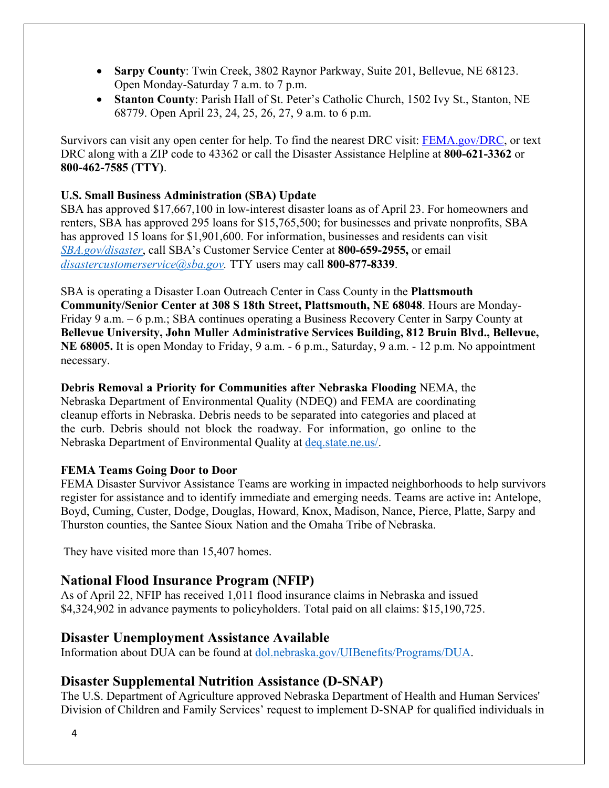- **Sarpy County**: Twin Creek, 3802 Raynor Parkway, Suite 201, Bellevue, NE 68123. Open Monday-Saturday 7 a.m. to 7 p.m.
- **Stanton County**: Parish Hall of St. Peter's Catholic Church, 1502 Ivy St., Stanton, NE 68779. Open April 23, 24, 25, 26, 27, 9 a.m. to 6 p.m.

Survivors can visit any open center for help. To find the nearest DRC visit: [FEMA.gov/DRC,](http://www.fema.gov/DRC) or text DRC along with a ZIP code to 43362 or call the Disaster Assistance Helpline at **800-621-3362** or **800-462-7585 (TTY)**.

#### **U.S. Small Business Administration (SBA) Update**

SBA has approved \$17,667,100 in low-interest disaster loans as of April 23. For homeowners and renters, SBA has approved 295 loans for \$15,765,500; for businesses and private nonprofits, SBA has approved 15 loans for \$1,901,600. For information, businesses and residents can visit *[SBA.gov/disaster](http://www.sba.gov/disaster)*, call SBA's Customer Service Center at **800-659-2955,** or email *[disastercustomerservice@sba.gov.](mailto:disastercustomerservice@sba.gov)* TTY users may call **800-877-8339**.

SBA is operating a Disaster Loan Outreach Center in Cass County in the **Plattsmouth Community/Senior Center at 308 S 18th Street, Plattsmouth, NE 68048**. Hours are Monday-Friday 9 a.m. – 6 p.m.; SBA continues operating a Business Recovery Center in Sarpy County at **Bellevue University, John Muller Administrative Services Building, 812 Bruin Blvd., Bellevue, NE 68005.** It is open Monday to Friday, 9 a.m. - 6 p.m., Saturday, 9 a.m. - 12 p.m. No appointment necessary.

**Debris Removal a Priority for Communities after Nebraska Flooding** NEMA, the Nebraska Department of Environmental Quality (NDEQ) and FEMA are coordinating cleanup efforts in Nebraska. Debris needs to be separated into categories and placed at the curb. Debris should not block the roadway. For information, go online to the Nebraska Department of Environmental Quality at [deq.state.ne.us/.](http://www.deq.state.ne.us/)

#### **FEMA Teams Going Door to Door**

FEMA Disaster Survivor Assistance Teams are working in impacted neighborhoods to help survivors register for assistance and to identify immediate and emerging needs. Teams are active in**:** Antelope, Boyd, Cuming, Custer, Dodge, Douglas, Howard, Knox, Madison, Nance, Pierce, Platte, Sarpy and Thurston counties, the Santee Sioux Nation and the Omaha Tribe of Nebraska.

They have visited more than 15,407 homes.

## **National Flood Insurance Program (NFIP)**

As of April 22, NFIP has received 1,011 flood insurance claims in Nebraska and issued \$4,324,902 in advance payments to policyholders. Total paid on all claims: \$15,190,725.

## **Disaster Unemployment Assistance Available**

Information about DUA can be found at [dol.nebraska.gov/UIBenefits/Programs/DUA.](https://dol.nebraska.gov/UIBenefits/Programs/DUA)

## **Disaster Supplemental Nutrition Assistance (D-SNAP)**

The U.S. Department of Agriculture approved Nebraska Department of Health and Human Services' Division of Children and Family Services' request to implement D-SNAP for qualified individuals in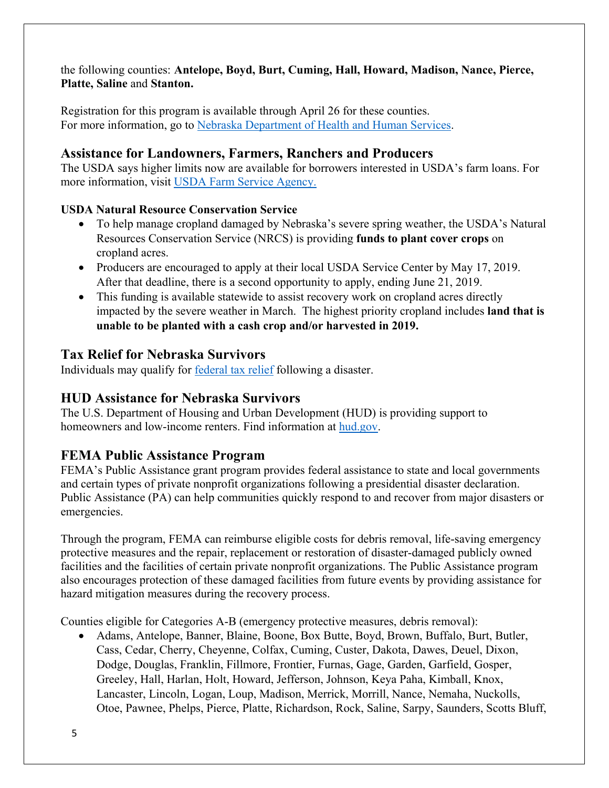the following counties: **Antelope, Boyd, Burt, Cuming, Hall, Howard, Madison, Nance, Pierce, Platte, Saline** and **Stanton.**

Registration for this program is available through April 26 for these counties. For more information, go to [Nebraska Department of Health and Human Services.](http://dhhs.ne.gov/Pages/Residents-of-12-More-Nebraska-Counties-Are-Eligible-for-Disaster-SNAP.aspx)

## **Assistance for Landowners, Farmers, Ranchers and Producers**

The USDA says higher limits now are available for borrowers interested in USDA's farm loans. For more information, visit [USDA Farm Service Agency.](https://www.fsa.usda.gov/)

### **USDA Natural Resource Conservation Service**

- To help manage cropland damaged by Nebraska's severe spring weather, the USDA's Natural Resources Conservation Service (NRCS) is providing **funds to plant cover crops** on cropland acres.
- Producers are encouraged to apply at their local USDA Service Center by May 17, 2019. After that deadline, there is a second opportunity to apply, ending June 21, 2019.
- This funding is available statewide to assist recovery work on cropland acres directly impacted by the severe weather in March. The highest priority cropland includes **land that is unable to be planted with a cash crop and/or harvested in 2019.**

## **Tax Relief for Nebraska Survivors**

Individuals may qualify for federal tax relief [following a disaster.](https://www.irs.gov/newsroom/irs-announces-tax-relief-for-nebraska-victims-of-severe-winter-storm-straight-line-winds-and-flooding)

## **HUD Assistance for Nebraska Survivors**

The U.S. Department of Housing and Urban Development (HUD) is providing support to homeowners and low-income renters. Find information at [hud.gov.](https://www.hud.gov/)

# **FEMA Public Assistance Program**

FEMA's Public Assistance grant program provides federal assistance to state and local governments and certain types of private nonprofit organizations following a presidential disaster declaration. Public Assistance (PA) can help communities quickly respond to and recover from major disasters or emergencies.

Through the program, FEMA can reimburse eligible costs for debris removal, life-saving emergency protective measures and the repair, replacement or restoration of disaster-damaged publicly owned facilities and the facilities of certain private nonprofit organizations. The Public Assistance program also encourages protection of these damaged facilities from future events by providing assistance for hazard mitigation measures during the recovery process.

Counties eligible for Categories A-B (emergency protective measures, debris removal):

• Adams, Antelope, Banner, Blaine, Boone, Box Butte, Boyd, Brown, Buffalo, Burt, Butler, Cass, Cedar, Cherry, Cheyenne, Colfax, Cuming, Custer, Dakota, Dawes, Deuel, Dixon, Dodge, Douglas, Franklin, Fillmore, Frontier, Furnas, Gage, Garden, Garfield, Gosper, Greeley, Hall, Harlan, Holt, Howard, Jefferson, Johnson, Keya Paha, Kimball, Knox, Lancaster, Lincoln, Logan, Loup, Madison, Merrick, Morrill, Nance, Nemaha, Nuckolls, Otoe, Pawnee, Phelps, Pierce, Platte, Richardson, Rock, Saline, Sarpy, Saunders, Scotts Bluff,